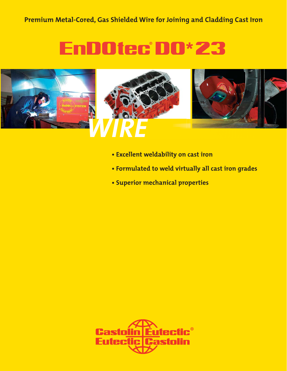# **Premium Metal-Cored, Gas Shielded Wire for Joining and Cladding Cast Iron**

# EnDOtec DO\*23 ®



- **Excellent weldability on cast iron**
- **Formulated to weld virtually all cast iron grades**
- **Superior mechanical properties**